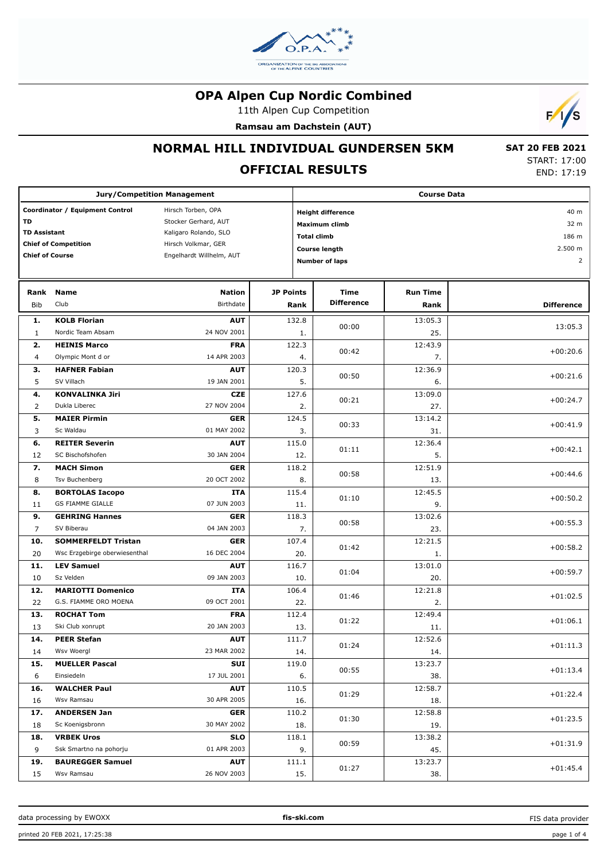

11th Alpen Cup Competition

**Ramsau am Dachstein (AUT)**



### **NORMAL HILL INDIVIDUAL GUNDERSEN 5KM**

# **OFFICIAL RESULTS**

 **SAT 20 FEB 2021** START: 17:00 END: 17:19

| <b>Jury/Competition Management</b>                    |                                           |                           |                  | <b>Course Data</b>       |                 |                   |  |  |
|-------------------------------------------------------|-------------------------------------------|---------------------------|------------------|--------------------------|-----------------|-------------------|--|--|
| Coordinator / Equipment Control<br>Hirsch Torben, OPA |                                           |                           |                  | <b>Height difference</b> | 40 m            |                   |  |  |
| TD                                                    |                                           | Stocker Gerhard, AUT      | Maximum climb    |                          |                 | 32 m              |  |  |
| <b>TD Assistant</b>                                   |                                           | Kaligaro Rolando, SLO     |                  | <b>Total climb</b>       |                 | 186 m             |  |  |
|                                                       | <b>Chief of Competition</b>               | Hirsch Volkmar, GER       |                  |                          |                 | 2.500 m           |  |  |
| <b>Chief of Course</b>                                |                                           | Engelhardt Willhelm, AUT  |                  | <b>Course length</b>     |                 |                   |  |  |
|                                                       |                                           |                           |                  | <b>Number of laps</b>    |                 | $\overline{2}$    |  |  |
| Rank                                                  | <b>Name</b>                               | <b>Nation</b>             | <b>JP Points</b> | Time                     | <b>Run Time</b> |                   |  |  |
| Bib                                                   | Club                                      | Birthdate                 | Rank             | <b>Difference</b>        | Rank            | <b>Difference</b> |  |  |
| 1.                                                    | <b>KOLB Florian</b>                       | <b>AUT</b>                | 132.8            | 00:00                    | 13:05.3         | 13:05.3           |  |  |
| 1                                                     | Nordic Team Absam                         | 24 NOV 2001               | 1.               |                          | 25.             |                   |  |  |
| 2.                                                    | <b>HEINIS Marco</b>                       | <b>FRA</b><br>14 APR 2003 | 122.3            | 00:42                    | 12:43.9         | $+00:20.6$        |  |  |
| $\overline{4}$<br>з.                                  | Olympic Mont d or<br><b>HAFNER Fabian</b> | <b>AUT</b>                | 4.<br>120.3      |                          | 7.<br>12:36.9   |                   |  |  |
| 5                                                     | SV Villach                                | 19 JAN 2001               | 5.               | 00:50                    | 6.              | $+00:21.6$        |  |  |
| 4.                                                    | <b>KONVALINKA Jiri</b>                    | <b>CZE</b>                | 127.6            |                          | 13:09.0         |                   |  |  |
| 2                                                     | Dukla Liberec                             | 27 NOV 2004               | 2.               | 00:21                    | 27.             | $+00:24.7$        |  |  |
| 5.                                                    | <b>MAIER Pirmin</b>                       | <b>GER</b>                | 124.5            | 00:33                    | 13:14.2         | $+00:41.9$        |  |  |
| 3                                                     | Sc Waldau                                 | 01 MAY 2002               | 3.               |                          | 31.             |                   |  |  |
| 6.                                                    | <b>REITER Severin</b>                     | <b>AUT</b>                | 115.0            | 01:11                    | 12:36.4         | $+00:42.1$        |  |  |
| 12                                                    | SC Bischofshofen                          | 30 JAN 2004               | 12.              |                          | 5.              |                   |  |  |
| 7.                                                    | <b>MACH Simon</b>                         | <b>GER</b>                | 118.2            | 00:58                    | 12:51.9         | $+00:44.6$        |  |  |
| 8                                                     | Tsv Buchenberg                            | 20 OCT 2002               | 8.               |                          | 13.             |                   |  |  |
| 8.                                                    | <b>BORTOLAS Iacopo</b>                    | <b>ITA</b>                | 115.4            | 01:10                    | 12:45.5         | $+00:50.2$        |  |  |
| 11                                                    | <b>GS FIAMME GIALLE</b>                   | 07 JUN 2003               | 11.              |                          | 9.              |                   |  |  |
| 9.<br>7                                               | <b>GEHRING Hannes</b><br>SV Biberau       | <b>GER</b><br>04 JAN 2003 | 118.3<br>7.      | 00:58                    | 13:02.6<br>23.  | $+00:55.3$        |  |  |
| 10.                                                   | <b>SOMMERFELDT Tristan</b>                | <b>GER</b>                | 107.4            |                          | 12:21.5         |                   |  |  |
| 20                                                    | Wsc Erzgebirge oberwiesenthal             | 16 DEC 2004               | 20.              | 01:42                    | 1.              | $+00:58.2$        |  |  |
| 11.                                                   | <b>LEV Samuel</b>                         | <b>AUT</b>                | 116.7            |                          | 13:01.0         |                   |  |  |
| 10                                                    | Sz Velden                                 | 09 JAN 2003               | 10.              | 01:04                    | 20.             | $+00:59.7$        |  |  |
| 12.                                                   | <b>MARIOTTI Domenico</b>                  | <b>ITA</b>                | 106.4            | 01:46                    | 12:21.8         | $+01:02.5$        |  |  |
| 22                                                    | G.S. FIAMME ORO MOENA                     | 09 OCT 2001               | 22.              |                          | 2.              |                   |  |  |
| 13.                                                   | <b>ROCHAT Tom</b>                         | <b>FRA</b>                | 112.4            | 01:22                    | 12:49.4         | $+01:06.1$        |  |  |
| 13                                                    | Ski Club xonrupt                          | 20 JAN 2003               | 13.              |                          | 11.             |                   |  |  |
| 14.                                                   | PEER Stefan                               | <b>AUT</b>                | 111.7            | 01:24                    | 12:52.6         | $+01:11.3$        |  |  |
| 14                                                    | Wsv Woergl                                | 23 MAR 2002               | 14.              |                          | 14.             |                   |  |  |
| 15.                                                   | <b>MUELLER Pascal</b><br>Einsiedeln       | SUI<br>17 JUL 2001        | 119.0            | 00:55                    | 13:23.7         | $+01:13.4$        |  |  |
| 6<br>16.                                              | <b>WALCHER Paul</b>                       | <b>AUT</b>                | 6.<br>110.5      |                          | 38.<br>12:58.7  |                   |  |  |
| 16                                                    | Wsv Ramsau                                | 30 APR 2005               | 16.              | 01:29                    | 18.             | $+01:22.4$        |  |  |
| 17.                                                   | <b>ANDERSEN Jan</b>                       | <b>GER</b>                | 110.2            |                          | 12:58.8         |                   |  |  |
| 18                                                    | Sc Koenigsbronn                           | 30 MAY 2002               | 18.              | 01:30                    | 19.             | $+01:23.5$        |  |  |
| 18.                                                   | <b>VRBEK Uros</b>                         | <b>SLO</b>                | 118.1            |                          | 13:38.2         |                   |  |  |
| 9                                                     | Ssk Smartno na pohorju                    | 01 APR 2003               | 9.               | 00:59                    | 45.             | $+01:31.9$        |  |  |
| 19.                                                   | <b>BAUREGGER Samuel</b>                   | <b>AUT</b>                | 111.1            |                          | 13:23.7         |                   |  |  |
| 15                                                    | Wsv Ramsau                                | 26 NOV 2003               | 15.              | 01:27                    | 38.             | $+01:45.4$        |  |  |

FIS data provider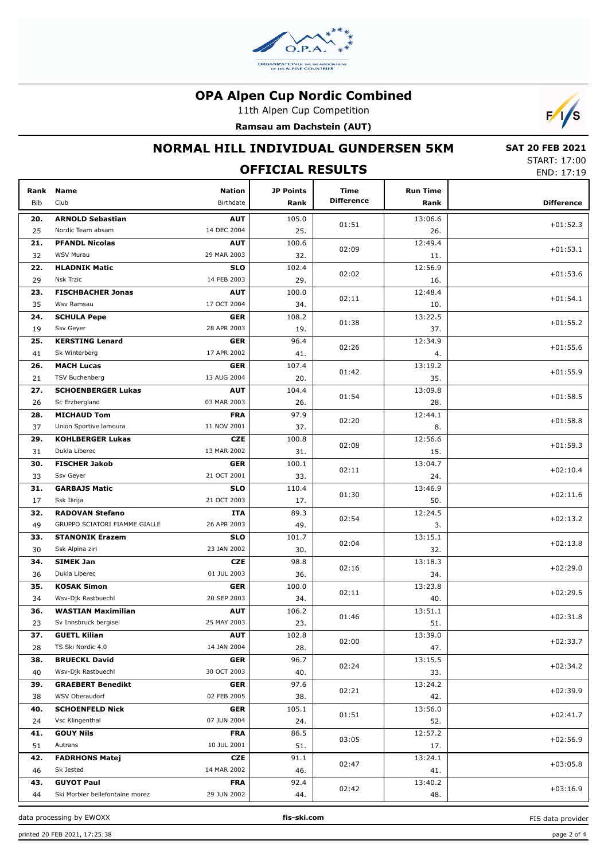

11th Alpen Cup Competition

**Ramsau am Dachstein (AUT)**



## **NORMAL HILL INDIVIDUAL GUNDERSEN 5KM**

 **SAT 20 FEB 2021** START: 17:00 END: 17:19

|             | JIMNI . 17.00<br>END: 17:19     |                            |                          |                           |                         |                   |
|-------------|---------------------------------|----------------------------|--------------------------|---------------------------|-------------------------|-------------------|
| Rank<br>Bib | <b>Name</b><br>Club             | <b>Nation</b><br>Birthdate | <b>JP Points</b><br>Rank | Time<br><b>Difference</b> | <b>Run Time</b><br>Rank | <b>Difference</b> |
| 20.         | <b>ARNOLD Sebastian</b>         | <b>AUT</b>                 | 105.0                    | 01:51                     | 13:06.6                 | $+01:52.3$        |
| 25          | Nordic Team absam               | 14 DEC 2004                | 25.                      |                           | 26.                     |                   |
| 21.         | <b>PFANDL Nicolas</b>           | <b>AUT</b>                 | 100.6                    | 02:09                     | 12:49.4                 | $+01:53.1$        |
| 32          | <b>WSV Murau</b>                | 29 MAR 2003                | 32.                      |                           | 11.                     |                   |
| 22.         | <b>HLADNIK Matic</b>            | <b>SLO</b>                 | 102.4                    | 02:02                     | 12:56.9                 | $+01:53.6$        |
| 29          | <b>Nsk Trzic</b>                | 14 FEB 2003                | 29.                      |                           | 16.                     |                   |
| 23.         | <b>FISCHBACHER Jonas</b>        | <b>AUT</b>                 | 100.0                    | 02:11                     | 12:48.4                 | $+01:54.1$        |
| 35          | Wsv Ramsau                      | 17 OCT 2004                | 34.                      |                           | 10.                     |                   |
| 24.         | <b>SCHULA Pepe</b>              | <b>GER</b>                 | 108.2                    | 01:38                     | 13:22.5                 | $+01:55.2$        |
| 19          | Ssv Geyer                       | 28 APR 2003                | 19.                      |                           | 37.                     |                   |
| 25.         | <b>KERSTING Lenard</b>          | <b>GER</b>                 | 96.4                     | 02:26                     | 12:34.9                 | $+01:55.6$        |
| 41          | Sk Winterberg                   | 17 APR 2002                | 41.                      |                           | 4.                      |                   |
| 26.         | <b>MACH Lucas</b>               | <b>GER</b>                 | 107.4                    | 01:42                     | 13:19.2                 | $+01:55.9$        |
| 21          | <b>TSV Buchenberg</b>           | 13 AUG 2004                | 20.                      |                           | 35.                     |                   |
| 27.         | <b>SCHOENBERGER Lukas</b>       | <b>AUT</b>                 | 104.4                    | 01:54                     | 13:09.8                 | $+01:58.5$        |
| 26          | Sc Erzbergland                  | 03 MAR 2003                | 26.                      |                           | 28.                     |                   |
| 28.         | <b>MICHAUD Tom</b>              | FRA                        | 97.9                     | 02:20                     | 12:44.1                 | $+01:58.8$        |
| 37          | Union Sportive lamoura          | 11 NOV 2001                | 37.                      |                           | 8.                      |                   |
| 29.         | <b>KOHLBERGER Lukas</b>         | <b>CZE</b>                 | 100.8                    | 02:08                     | 12:56.6                 | $+01:59.3$        |
| 31          | Dukla Liberec                   | 13 MAR 2002                | 31.                      |                           | 15.                     |                   |
| 30.         | <b>FISCHER Jakob</b>            | <b>GER</b>                 | 100.1                    | 02:11                     | 13:04.7                 | $+02:10.4$        |
| 33          | Ssv Geyer                       | 21 OCT 2001                | 33.                      |                           | 24.                     |                   |
| 31.         | <b>GARBAJS Matic</b>            | <b>SLO</b>                 | 110.4                    | 01:30                     | 13:46.9                 | $+02:11.6$        |
| 17          | Ssk Ilirija                     | 21 OCT 2003                | 17.                      |                           | 50.                     |                   |
| 32.         | <b>RADOVAN Stefano</b>          | ITA                        | 89.3                     |                           | 12:24.5                 | $+02:13.2$        |
| 49          | GRUPPO SCIATORI FIAMME GIALLE   | 26 APR 2003                | 49.                      | 02:54                     | 3.                      |                   |
| 33.         | <b>STANONIK Erazem</b>          | <b>SLO</b>                 | 101.7                    |                           | 13:15.1                 |                   |
| 30          | Ssk Alpina ziri                 | 23 JAN 2002                | 30.                      | 02:04                     | 32.                     | $+02:13.8$        |
| 34.         | <b>SIMEK Jan</b>                | <b>CZE</b>                 | 98.8                     |                           | 13:18.3                 |                   |
| 36          | Dukla Liberec                   | 01 JUL 2003                | 36.                      | 02:16                     | 34.                     | $+02:29.0$        |
| 35.         | <b>KOSAK Simon</b>              | <b>GER</b>                 | 100.0                    | 02:11                     | 13:23.8                 | $+02:29.5$        |
| 34          | Wsv-Djk Rastbuechl              | 20 SEP 2003                | 34.                      |                           | 40.                     |                   |
| 36.         | <b>WASTIAN Maximilian</b>       | <b>AUT</b>                 | 106.2                    | 01:46                     | 13:51.1                 | $+02:31.8$        |
| 23          | Sv Innsbruck bergisel           | 25 MAY 2003                | 23.                      |                           | 51.                     |                   |
| 37.         | <b>GUETL Kilian</b>             | <b>AUT</b>                 | 102.8                    | 02:00                     | 13:39.0                 | $+02:33.7$        |
| 28          | TS Ski Nordic 4.0               | 14 JAN 2004                | 28.                      |                           | 47.                     |                   |
| 38.         | <b>BRUECKL David</b>            | <b>GER</b>                 | 96.7                     |                           | 13:15.5                 | $+02:34.2$        |
| 40          | Wsv-Djk Rastbuechl              | 30 OCT 2003                | 40.                      | 02:24                     | 33.                     |                   |
| 39.         | <b>GRAEBERT Benedikt</b>        | <b>GER</b>                 | 97.6                     |                           | 13:24.2                 |                   |
| 38          | WSV Oberaudorf                  | 02 FEB 2005                | 38.                      | 02:21                     | 42.                     | $+02:39.9$        |
| 40.         | <b>SCHOENFELD Nick</b>          | <b>GER</b>                 | 105.1                    |                           | 13:56.0                 |                   |
| 24          | Vsc Klingenthal                 | 07 JUN 2004                | 24.                      | 01:51                     | 52.                     | $+02:41.7$        |
| 41.         | <b>GOUY Nils</b>                | <b>FRA</b>                 | 86.5                     |                           | 12:57.2                 |                   |
| 51          | Autrans                         | 10 JUL 2001                | 51.                      | 03:05                     | 17.                     | $+02:56.9$        |
| 42.         | <b>FADRHONS Matej</b>           | CZE                        | 91.1                     |                           | 13:24.1                 |                   |
| 46          | Sk Jested                       | 14 MAR 2002                | 46.                      | 02:47                     | 41.                     | $+03:05.8$        |
| 43.         | <b>GUYOT Paul</b>               | <b>FRA</b>                 | 92.4                     |                           | 13:40.2                 |                   |
| 44          | Ski Morbier bellefontaine morez | 29 JUN 2002                | 44.                      | 02:42                     | 48.                     | $+03:16.9$        |

data processing by EWOXX **fis-ski.com**

FIS data provider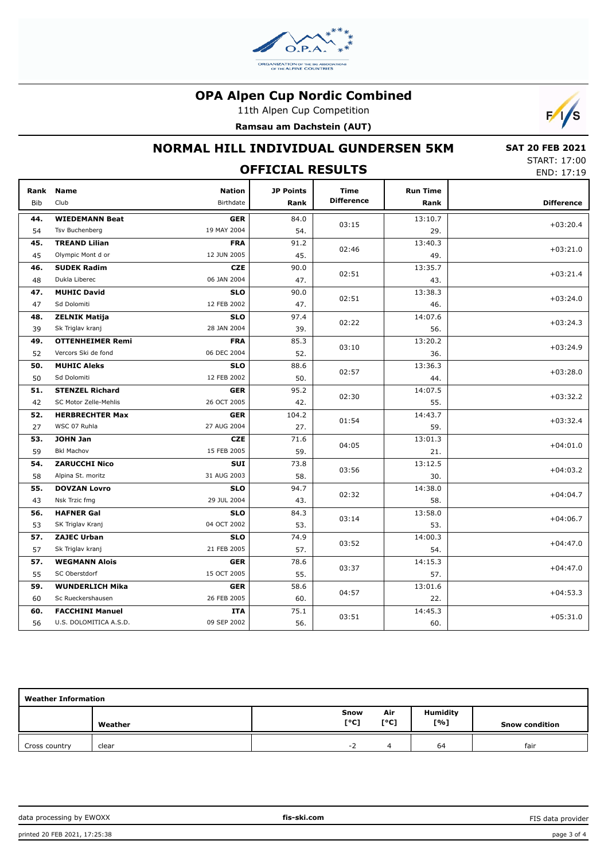

11th Alpen Cup Competition





# **NORMAL HILL INDIVIDUAL GUNDERSEN 5KM**

 **SAT 20 FEB 2021** START: 17:00 END: 17:19

| JIMNI. II. 100<br><b>OFFICIAL RESULTS</b><br>END: 17:19 |                         |                                   |                          |                           |                         |                   |
|---------------------------------------------------------|-------------------------|-----------------------------------|--------------------------|---------------------------|-------------------------|-------------------|
| Rank<br>Bib                                             | <b>Name</b><br>Club     | <b>Nation</b><br><b>Birthdate</b> | <b>JP Points</b><br>Rank | Time<br><b>Difference</b> | <b>Run Time</b><br>Rank | <b>Difference</b> |
| 44.                                                     | <b>WIEDEMANN Beat</b>   | <b>GER</b>                        | 84.0                     |                           | 13:10.7                 |                   |
| 54                                                      | Tsv Buchenberg          | 19 MAY 2004                       | 54.                      | 03:15                     | 29.                     | $+03:20.4$        |
| 45.                                                     | <b>TREAND Lilian</b>    | <b>FRA</b>                        | 91.2                     |                           | 13:40.3                 |                   |
| 45                                                      | Olympic Mont d or       | 12 JUN 2005                       | 45.                      | 02:46                     | 49.                     | $+03:21.0$        |
| 46.                                                     | <b>SUDEK Radim</b>      | <b>CZE</b>                        | 90.0                     |                           | 13:35.7                 |                   |
| 48                                                      | Dukla Liberec           | 06 JAN 2004                       | 47.                      | 02:51                     | 43.                     | $+03:21.4$        |
| 47.                                                     | <b>MUHIC David</b>      | <b>SLO</b>                        | 90.0                     |                           | 13:38.3                 |                   |
| 47                                                      | Sd Dolomiti             | 12 FEB 2002                       | 47.                      | 02:51                     | 46.                     | $+03:24.0$        |
| 48.                                                     | <b>ZELNIK Matija</b>    | <b>SLO</b>                        | 97.4                     |                           | 14:07.6                 |                   |
| 39                                                      | Sk Triglav kranj        | 28 JAN 2004                       | 39.                      | 02:22                     | 56.                     | $+03:24.3$        |
| 49.                                                     | <b>OTTENHEIMER Remi</b> | <b>FRA</b>                        | 85.3                     |                           | 13:20.2                 |                   |
| 52                                                      | Vercors Ski de fond     | 06 DEC 2004                       | 52.                      | 03:10                     | 36.                     | $+03:24.9$        |
| 50.                                                     | <b>MUHIC Aleks</b>      | <b>SLO</b>                        | 88.6                     |                           | 13:36.3                 |                   |
| 50                                                      | Sd Dolomiti             | 12 FEB 2002                       | 50.                      | 02:57                     | 44.                     | $+03:28.0$        |
| 51.                                                     | <b>STENZEL Richard</b>  | <b>GER</b>                        | 95.2                     |                           | 14:07.5                 |                   |
| 42                                                      | SC Motor Zelle-Mehlis   | 26 OCT 2005                       | 42.                      | 02:30                     | 55.                     | $+03:32.2$        |
| 52.                                                     | <b>HERBRECHTER Max</b>  | <b>GER</b>                        | 104.2                    |                           | 14:43.7                 |                   |
| 27                                                      | WSC 07 Ruhla            | 27 AUG 2004                       | 27.                      | 01:54                     | 59.                     | $+03:32.4$        |
| 53.                                                     | <b>JOHN Jan</b>         | <b>CZE</b>                        | 71.6                     | 04:05                     | 13:01.3                 | $+04:01.0$        |
| 59                                                      | <b>Bkl Machov</b>       | 15 FEB 2005                       | 59.                      |                           | 21.                     |                   |
| 54.                                                     | <b>ZARUCCHI Nico</b>    | <b>SUI</b>                        | 73.8                     |                           | 13:12.5                 |                   |
| 58                                                      | Alpina St. moritz       | 31 AUG 2003                       | 58.                      | 03:56                     | 30.                     | $+04:03.2$        |
| 55.                                                     | <b>DOVZAN Lovro</b>     | <b>SLO</b>                        | 94.7                     | 02:32                     | 14:38.0                 | $+04:04.7$        |
| 43                                                      | Nsk Trzic fmg           | 29 JUL 2004                       | 43.                      |                           | 58.                     |                   |
| 56.                                                     | <b>HAFNER Gal</b>       | <b>SLO</b>                        | 84.3                     | 03:14                     | 13:58.0                 | $+04:06.7$        |
| 53                                                      | SK Triglav Kranj        | 04 OCT 2002                       | 53.                      |                           | 53.                     |                   |
| 57.                                                     | <b>ZAJEC Urban</b>      | <b>SLO</b>                        | 74.9                     | 03:52                     | 14:00.3                 | $+04:47.0$        |
| 57                                                      | Sk Triglav kranj        | 21 FEB 2005                       | 57.                      |                           | 54.                     |                   |
| 57.                                                     | <b>WEGMANN Alois</b>    | <b>GER</b>                        | 78.6                     | 03:37                     | 14:15.3                 | $+04:47.0$        |
| 55                                                      | SC Oberstdorf           | 15 OCT 2005                       | 55.                      |                           | 57.                     |                   |
| 59.                                                     | <b>WUNDERLICH Mika</b>  | <b>GER</b>                        | 58.6                     | 04:57                     | 13:01.6                 | $+04:53.3$        |
| 60                                                      | Sc Rueckershausen       | 26 FEB 2005                       | 60.                      |                           | 22.                     |                   |
| 60.                                                     | <b>FACCHINI Manuel</b>  | ITA                               | 75.1                     | 03:51                     | 14:45.3                 | $+05:31.0$        |
| 56                                                      | U.S. DOLOMITICA A.S.D.  | 09 SEP 2002                       | 56.                      |                           | 60.                     |                   |

| <b>Weather Information</b> |         |              |             |                        |                       |  |  |
|----------------------------|---------|--------------|-------------|------------------------|-----------------------|--|--|
|                            | Weather | Snow<br>[°C] | Air<br>[°C] | <b>Humidity</b><br>[%] | <b>Snow condition</b> |  |  |
| Cross country              | clear   | $-$          |             | 64                     | fair                  |  |  |

data processing by EWOXX **fis-ski.com**

FIS data provider